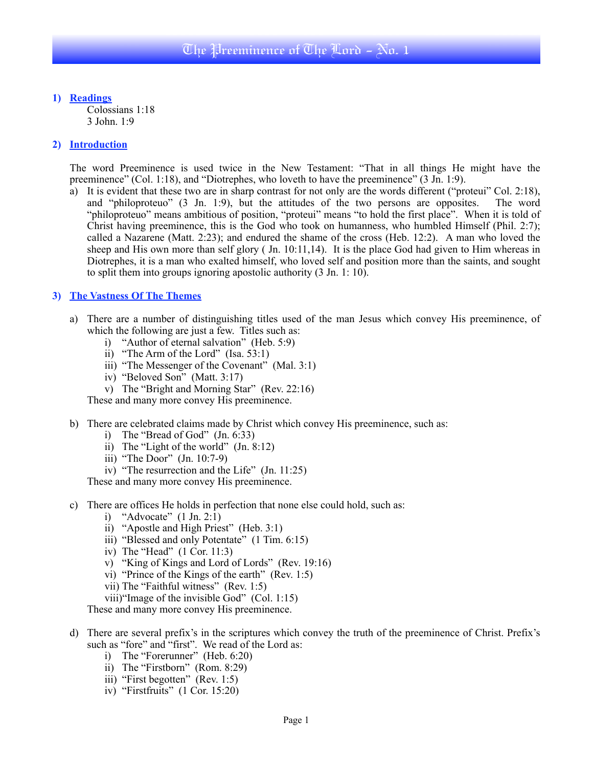**1) Readings** Colossians 1:18 3 John. 1:9

#### **2) Introduction**

The word Preeminence is used twice in the New Testament: "That in all things He might have the preeminence" (Col. 1:18), and "Diotrephes, who loveth to have the preeminence" (3 Jn. 1:9).

a) It is evident that these two are in sharp contrast for not only are the words different ("proteui" Col. 2:18), and "philoproteuo" (3 Jn. 1:9), but the attitudes of the two persons are opposites. The word "philoproteuo" means ambitious of position, "proteui" means "to hold the first place". When it is told of Christ having preeminence, this is the God who took on humanness, who humbled Himself (Phil. 2:7); called a Nazarene (Matt. 2:23); and endured the shame of the cross (Heb. 12:2). A man who loved the sheep and His own more than self glory ( Jn. 10:11,14). It is the place God had given to Him whereas in Diotrephes, it is a man who exalted himself, who loved self and position more than the saints, and sought to split them into groups ignoring apostolic authority (3 Jn. 1: 10).

### **3) The Vastness Of The Themes**

- a) There are a number of distinguishing titles used of the man Jesus which convey His preeminence, of which the following are just a few. Titles such as:
	- i) "Author of eternal salvation" (Heb. 5:9)
	- ii) "The Arm of the Lord" (Isa. 53:1)
	- iii) "The Messenger of the Covenant" (Mal. 3:1)
	- iv) "Beloved Son" (Matt. 3:17)
	- v) The "Bright and Morning Star" (Rev. 22:16)

These and many more convey His preeminence.

- b) There are celebrated claims made by Christ which convey His preeminence, such as:
	- i) The "Bread of God" (Jn. 6:33)
	- ii) The "Light of the world" (Jn. 8:12)
	- iii) "The Door" (Jn. 10:7-9)
	- iv) "The resurrection and the Life" (Jn. 11:25)

These and many more convey His preeminence.

- c) There are offices He holds in perfection that none else could hold, such as:
	- i) "Advocate" (1 Jn. 2:1)
	- ii) "Apostle and High Priest" (Heb. 3:1)
	- iii) "Blessed and only Potentate" (1 Tim. 6:15)
	- iv) The "Head" (1 Cor. 11:3)
	- v) "King of Kings and Lord of Lords" (Rev. 19:16)
	- vi) "Prince of the Kings of the earth" (Rev. 1:5)
	- vii) The "Faithful witness" (Rev. 1:5)
	- viii)"Image of the invisible God" (Col. 1:15)

These and many more convey His preeminence.

- d) There are several prefix's in the scriptures which convey the truth of the preeminence of Christ. Prefix's such as "fore" and "first". We read of the Lord as:
	- i) The "Forerunner" (Heb. 6:20)
	- ii) The "Firstborn" (Rom. 8:29)
	- iii) "First begotten" (Rev. 1:5)
	- iv) "Firstfruits" (1 Cor. 15:20)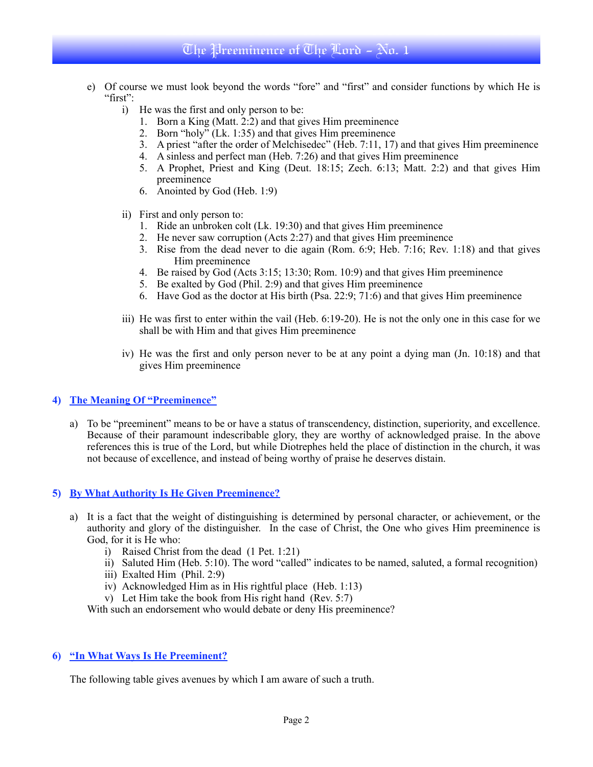- e) Of course we must look beyond the words "fore" and "first" and consider functions by which He is "first":
	- i) He was the first and only person to be:
		- 1. Born a King (Matt. 2:2) and that gives Him preeminence
		- 2. Born "holy" (Lk. 1:35) and that gives Him preeminence
		- 3. A priest "after the order of Melchisedec" (Heb. 7:11, 17) and that gives Him preeminence
		- 4. A sinless and perfect man (Heb. 7:26) and that gives Him preeminence
		- 5. A Prophet, Priest and King (Deut. 18:15; Zech. 6:13; Matt. 2:2) and that gives Him preeminence
		- 6. Anointed by God (Heb. 1:9)
	- ii) First and only person to:
		- 1. Ride an unbroken colt (Lk. 19:30) and that gives Him preeminence
		- 2. He never saw corruption (Acts 2:27) and that gives Him preeminence
		- 3. Rise from the dead never to die again (Rom. 6:9; Heb. 7:16; Rev. 1:18) and that gives Him preeminence
		- 4. Be raised by God (Acts 3:15; 13:30; Rom. 10:9) and that gives Him preeminence
		- 5. Be exalted by God (Phil. 2:9) and that gives Him preeminence
		- 6. Have God as the doctor at His birth (Psa. 22:9; 71:6) and that gives Him preeminence
	- iii) He was first to enter within the vail (Heb. 6:19-20). He is not the only one in this case for we shall be with Him and that gives Him preeminence
	- iv) He was the first and only person never to be at any point a dying man (Jn. 10:18) and that gives Him preeminence

# **4) The Meaning Of "Preeminence"**

a) To be "preeminent" means to be or have a status of transcendency, distinction, superiority, and excellence. Because of their paramount indescribable glory, they are worthy of acknowledged praise. In the above references this is true of the Lord, but while Diotrephes held the place of distinction in the church, it was not because of excellence, and instead of being worthy of praise he deserves distain.

### **5) By What Authority Is He Given Preeminence?**

- a) It is a fact that the weight of distinguishing is determined by personal character, or achievement, or the authority and glory of the distinguisher. In the case of Christ, the One who gives Him preeminence is God, for it is He who:
	- i) Raised Christ from the dead (1 Pet. 1:21)
	- ii) Saluted Him (Heb. 5:10). The word "called" indicates to be named, saluted, a formal recognition)
	- iii) Exalted Him (Phil. 2:9)
	- iv) Acknowledged Him as in His rightful place (Heb. 1:13)
	- v) Let Him take the book from His right hand (Rev. 5:7)

With such an endorsement who would debate or deny His preeminence?

# **6) "In What Ways Is He Preeminent?**

The following table gives avenues by which I am aware of such a truth.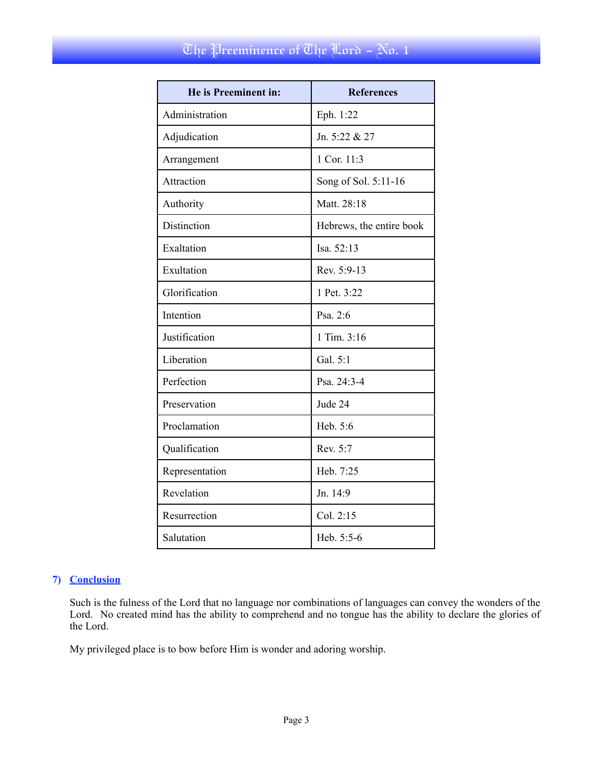| He is Preeminent in: | <b>References</b>        |
|----------------------|--------------------------|
| Administration       | Eph. 1:22                |
| Adjudication         | Jn. 5:22 & 27            |
| Arrangement          | 1 Cor. 11:3              |
| Attraction           | Song of Sol. 5:11-16     |
| Authority            | Matt. 28:18              |
| Distinction          | Hebrews, the entire book |
| Exaltation           | Isa. 52:13               |
| Exultation           | Rev. 5:9-13              |
| Glorification        | 1 Pet. 3:22              |
| Intention            | Psa. 2:6                 |
| Justification        | 1 Tim. 3:16              |
| Liberation           | Gal. 5:1                 |
| Perfection           | Psa. 24:3-4              |
| Preservation         | Jude 24                  |
| Proclamation         | Heb. 5:6                 |
| Qualification        | Rev. 5:7                 |
| Representation       | Heb. 7:25                |
| Revelation           | Jn. 14:9                 |
| Resurrection         | Col. 2:15                |
| Salutation           | Heb. 5:5-6               |

# **7) Conclusion**

Such is the fulness of the Lord that no language nor combinations of languages can convey the wonders of the Lord. No created mind has the ability to comprehend and no tongue has the ability to declare the glories of the Lord.

My privileged place is to bow before Him is wonder and adoring worship.